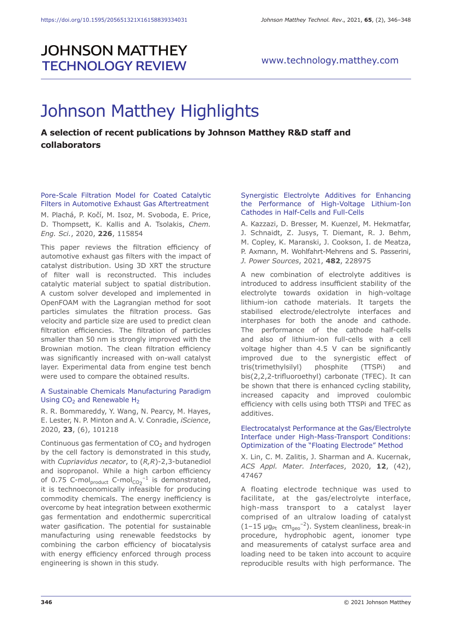## **JOHNSON MATTHEY TECHNOLOGY REVIEW**

# Johnson Matthey Highlights

### **A selection of recent publications by Johnson Matthey R&D staff and collaborators**

Pore-Scale Filtration Model for Coated Catalytic Filters in Automotive Exhaust Gas Aftertreatment

M. Plachá, P. Kočí, M. Isoz, M. Svoboda, E. Price, D. Thompsett, K. Kallis and A. Tsolakis, *Chem. Eng. Sci.*, 2020, **226**, 115854

This paper reviews the filtration efficiency of automotive exhaust gas filters with the impact of catalyst distribution. Using 3D XRT the structure of filter wall is reconstructed. This includes catalytic material subject to spatial distribution. A custom solver developed and implemented in OpenFOAM with the Lagrangian method for soot particles simulates the filtration process. Gas velocity and particle size are used to predict clean filtration efficiencies. The filtration of particles smaller than 50 nm is strongly improved with the Brownian motion. The clean filtration efficiency was significantly increased with on-wall catalyst layer. Experimental data from engine test bench were used to compare the obtained results.

#### A Sustainable Chemicals Manufacturing Paradigm Using  $CO<sub>2</sub>$  and Renewable H<sub>2</sub>

R. R. Bommareddy, Y. Wang, N. Pearcy, M. Hayes, E. Lester, N. P. Minton and A. V. Conradie, *iScience*, 2020, **23**, (6), 101218

Continuous gas fermentation of  $CO<sub>2</sub>$  and hydrogen by the cell factory is demonstrated in this study, with *Cupriavidus necator*, to (*R,R*)-2,3-butanediol and isopropanol. While a high carbon efficiency of 0.75 C-mol $_{\text{product}}$  C-mol $_{\text{CO}_2}^{-1}$  is demonstrated, it is technoeconomically infeasible for producing commodity chemicals. The energy inefficiency is overcome by heat integration between exothermic gas fermentation and endothermic supercritical water gasification. The potential for sustainable manufacturing using renewable feedstocks by combining the carbon efficiency of biocatalysis with energy efficiency enforced through process engineering is shown in this study.

#### Synergistic Electrolyte Additives for Enhancing the Performance of High-Voltage Lithium-Ion Cathodes in Half-Cells and Full-Cells

A. Kazzazi, D. Bresser, M. Kuenzel, M. Hekmatfar, J. Schnaidt, Z. Jusys, T. Diemant, R. J. Behm, M. Copley, K. Maranski, J. Cookson, I. de Meatza, P. Axmann, M. Wohlfahrt-Mehrens and S. Passerini, *J. Power Sources*, 2021, **482**, 228975

A new combination of electrolyte additives is introduced to address insufficient stability of the electrolyte towards oxidation in high-voltage lithium-ion cathode materials. It targets the stabilised electrode/electrolyte interfaces and interphases for both the anode and cathode. The performance of the cathode half-cells and also of lithium-ion full-cells with a cell voltage higher than 4.5 V can be significantly improved due to the synergistic effect of tris(trimethylsilyl) phosphite (TTSPi) and bis(2,2,2‑trifluoroethyl) carbonate (TFEC). It can be shown that there is enhanced cycling stability, increased capacity and improved coulombic efficiency with cells using both TTSPi and TFEC as additives.

#### Electrocatalyst Performance at the Gas/Electrolyte Interface under High-Mass-Transport Conditions: Optimization of the "Floating Electrode" Method

X. Lin, C. M. Zalitis, J. Sharman and A. Kucernak, *ACS Appl. Mater. Interfaces*, 2020, **12**, (42), 47467

A floating electrode technique was used to facilitate, at the gas/electrolyte interface, high-mass transport to a catalyst layer comprised of an ultralow loading of catalyst  $(1-15 \mu g_{Pt} \ cm_{geo}^{-2})$ . System cleanliness, break-in procedure, hydrophobic agent, ionomer type and measurements of catalyst surface area and loading need to be taken into account to acquire reproducible results with high performance. The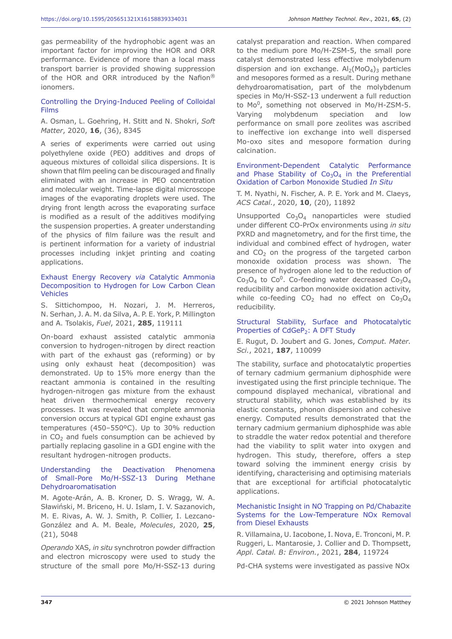gas permeability of the hydrophobic agent was an important factor for improving the HOR and ORR performance. Evidence of more than a local mass transport barrier is provided showing suppression of the HOR and ORR introduced by the Nafion® ionomers.

#### Controlling the Drying-Induced Peeling of Colloidal Films

A. Osman, L. Goehring, H. Stitt and N. Shokri, *Soft Matter*, 2020, **16**, (36), 8345

A series of experiments were carried out using polyethylene oxide (PEO) additives and drops of aqueous mixtures of colloidal silica dispersions. It is shown that film peeling can be discouraged and finally eliminated with an increase in PEO concentration and molecular weight. Time-lapse digital microscope images of the evaporating droplets were used. The drying front length across the evaporating surface is modified as a result of the additives modifying the suspension properties. A greater understanding of the physics of film failure was the result and is pertinent information for a variety of industrial processes including inkjet printing and coating applications.

#### Exhaust Energy Recovery *via* Catalytic Ammonia Decomposition to Hydrogen for Low Carbon Clean Vehicles

S. Sittichompoo, H. Nozari, J. M. Herreros, N. Serhan, J. A. M. da Silva, A. P. E. York, P. Millington and A. Tsolakis, *Fuel*, 2021, **285**, 119111

On-board exhaust assisted catalytic ammonia conversion to hydrogen-nitrogen by direct reaction with part of the exhaust gas (reforming) or by using only exhaust heat (decomposition) was demonstrated. Up to 15% more energy than the reactant ammonia is contained in the resulting hydrogen-nitrogen gas mixture from the exhaust heat driven thermochemical energy recovery processes. It was revealed that complete ammonia conversion occurs at typical GDI engine exhaust gas temperatures (450–550ºC). Up to 30% reduction in  $CO<sub>2</sub>$  and fuels consumption can be achieved by partially replacing gasoline in a GDI engine with the resultant hydrogen-nitrogen products.

#### Understanding the Deactivation Phenomena of Small-Pore Mo/H-SSZ-13 During Methane Dehydroaromatisation

M. Agote-Arán, A. B. Kroner, D. S. Wragg, W. A. Sławiński, M. Briceno, H. U. Islam, I. V. Sazanovich, M. E. Rivas, A. W. J. Smith, P. Collier, I. Lezcano-González and A. M. Beale, *Molecules*, 2020, **25**, (21), 5048

*Operando* XAS, *in situ* synchrotron powder diffraction and electron microscopy were used to study the structure of the small pore Mo/H-SSZ-13 during

catalyst preparation and reaction. When compared to the medium pore Mo/H-ZSM-5, the small pore catalyst demonstrated less effective molybdenum dispersion and ion exchange.  $Al<sub>2</sub>(MoO<sub>4</sub>)<sub>3</sub>$  particles and mesopores formed as a result. During methane dehydroaromatisation, part of the molybdenum species in Mo/H-SSZ-13 underwent a full reduction to Mo<sup>0</sup>, something not observed in Mo/H-ZSM-5. Varying molybdenum speciation and low performance on small pore zeolites was ascribed to ineffective ion exchange into well dispersed Mo-oxo sites and mesopore formation during calcination.

#### Environment-Dependent Catalytic Performance and Phase Stability of  $Co<sub>3</sub>O<sub>4</sub>$  in the Preferential Oxidation of Carbon Monoxide Studied *In Situ*

T. M. Nyathi, N. Fischer, A. P. E. York and M. Claeys, *ACS Catal.*, 2020, **10**, (20), 11892

Unsupported  $Co<sub>3</sub>O<sub>4</sub>$  nanoparticles were studied under different CO-PrOx environments using *in situ* PXRD and magnetometry, and for the first time, the individual and combined effect of hydrogen, water and  $CO<sub>2</sub>$  on the progress of the targeted carbon monoxide oxidation process was shown. The presence of hydrogen alone led to the reduction of  $Co<sub>3</sub>O<sub>4</sub>$  to  $Co<sup>0</sup>$ . Co-feeding water decreased  $Co<sub>3</sub>O<sub>4</sub>$ reducibility and carbon monoxide oxidation activity, while co-feeding  $CO<sub>2</sub>$  had no effect on  $Co<sub>3</sub>O<sub>4</sub>$ reducibility.

#### Structural Stability, Surface and Photocatalytic Properties of CdGeP<sub>2</sub>: A DFT Study

E. Rugut, D. Joubert and G. Jones, *Comput. Mater. Sci.*, 2021, **187**, 110099

The stability, surface and photocatalytic properties of ternary cadmium germanium diphosphide were investigated using the first principle technique. The compound displayed mechanical, vibrational and structural stability, which was established by its elastic constants, phonon dispersion and cohesive energy. Computed results demonstrated that the ternary cadmium germanium diphosphide was able to straddle the water redox potential and therefore had the viability to split water into oxygen and hydrogen. This study, therefore, offers a step toward solving the imminent energy crisis by identifying, characterising and optimising materials that are exceptional for artificial photocatalytic applications.

#### Mechanistic Insight in NO Trapping on Pd/Chabazite Systems for the Low-Temperature NOx Removal from Diesel Exhausts

R. Villamaina, U. Iacobone, I. Nova, E. Tronconi, M. P. Ruggeri, L. Mantarosie, J. Collier and D. Thompsett, *Appl. Catal. B: Environ.*, 2021, **284**, 119724

Pd-CHA systems were investigated as passive NOx